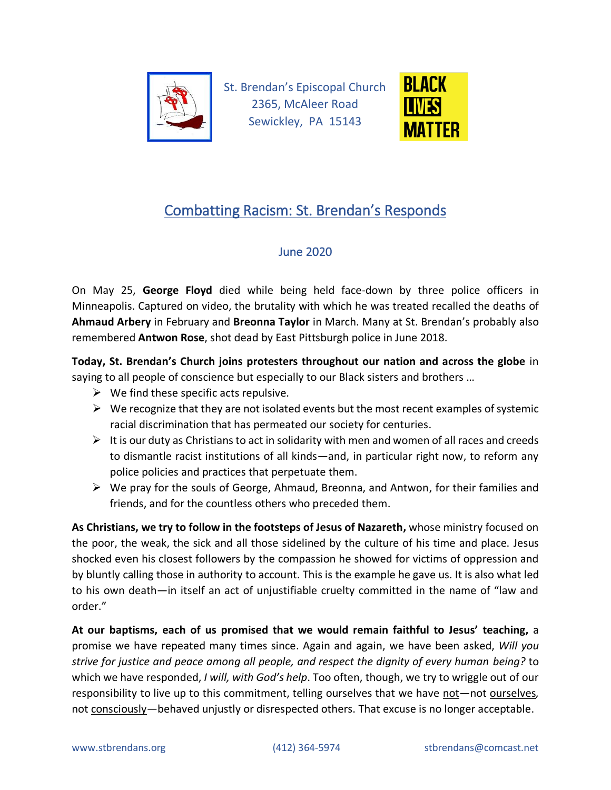

St. Brendan's Episcopal Church 2365, McAleer Road Sewickley, PA 15143



## Combatting Racism: St. Brendan's Responds

## June 2020

On May 25, **George Floyd** died while being held face-down by three police officers in Minneapolis. Captured on video, the brutality with which he was treated recalled the deaths of **Ahmaud Arbery** in February and **Breonna Taylor** in March. Many at St. Brendan's probably also remembered **Antwon Rose**, shot dead by East Pittsburgh police in June 2018.

**Today, St. Brendan's Church joins protesters throughout our nation and across the globe** in saying to all people of conscience but especially to our Black sisters and brothers …

- $\triangleright$  We find these specific acts repulsive.
- $\triangleright$  We recognize that they are not isolated events but the most recent examples of systemic racial discrimination that has permeated our society for centuries.
- $\triangleright$  It is our duty as Christians to act in solidarity with men and women of all races and creeds to dismantle racist institutions of all kinds—and, in particular right now, to reform any police policies and practices that perpetuate them.
- ➢ We pray for the souls of George, Ahmaud, Breonna, and Antwon, for their families and friends, and for the countless others who preceded them.

**As Christians, we try to follow in the footsteps of Jesus of Nazareth,** whose ministry focused on the poor, the weak, the sick and all those sidelined by the culture of his time and place. Jesus shocked even his closest followers by the compassion he showed for victims of oppression and by bluntly calling those in authority to account. This is the example he gave us. It is also what led to his own death—in itself an act of unjustifiable cruelty committed in the name of "law and order."

**At our baptisms, each of us promised that we would remain faithful to Jesus' teaching,** a promise we have repeated many times since. Again and again, we have been asked, *Will you strive for justice and peace among all people, and respect the dignity of every human being?* to which we have responded, *I will, with God's help*. Too often, though, we try to wriggle out of our responsibility to live up to this commitment, telling ourselves that we have not—not ourselves*,*  not consciously—behaved unjustly or disrespected others. That excuse is no longer acceptable.